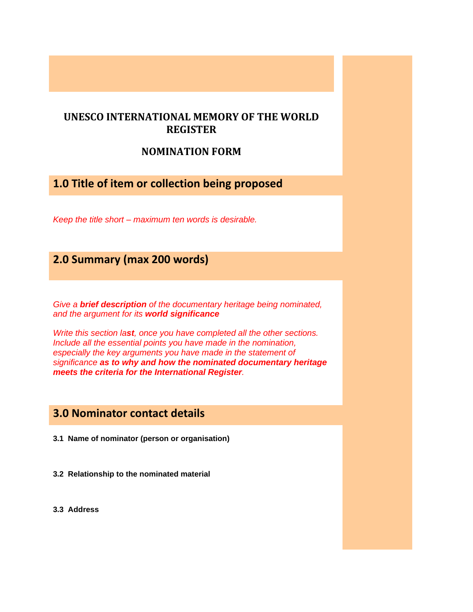### **UNESCO INTERNATIONAL MEMORY OF THE WORLD REGISTER**

### **NOMINATION FORM**

# **1.0 Title of item or collection being proposed**

*Keep the title short – maximum ten words is desirable.*

# **2.0 Summary (max 200 words)**

*Give a brief description of the documentary heritage being nominated, and the argument for its world significance* 

*Write this section last, once you have completed all the other sections. Include all the essential points you have made in the nomination, especially the key arguments you have made in the statement of significance as to why and how the nominated documentary heritage meets the criteria for the International Register.*

## **3.0 Nominator contact details**

- **3.1 Name of nominator (person or organisation)**
- **3.2 Relationship to the nominated material**
- **3.3 Address**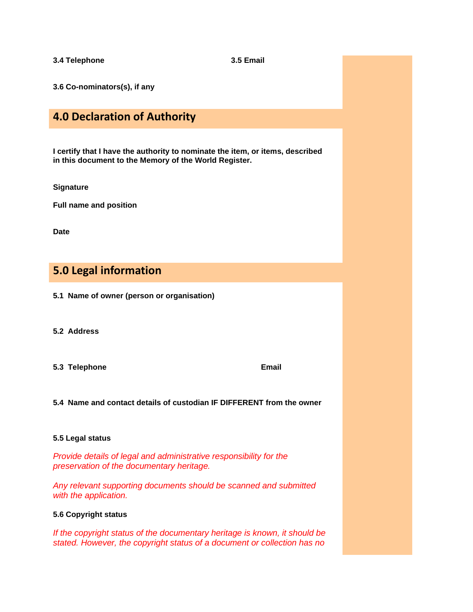**3.4 Telephone 3.5 Email**

**3.6 Co-nominators(s), if any**

# **4.0 Declaration of Authority**

**I certify that I have the authority to nominate the item, or items, described in this document to the Memory of the World Register.**

**Signature**

**Full name and position**

**Date**

# **5.0 Legal information**

- **5.1 Name of owner (person or organisation)**
- **5.2 Address**
- **5.3 Telephone Email**

**5.4 Name and contact details of custodian IF DIFFERENT from the owner**

#### **5.5 Legal status**

*Provide details of legal and administrative responsibility for the preservation of the documentary heritage.*

*Any relevant supporting documents should be scanned and submitted with the application.*

### **5.6 Copyright status**

*If the copyright status of the documentary heritage is known, it should be stated. However, the copyright status of a document or collection has no*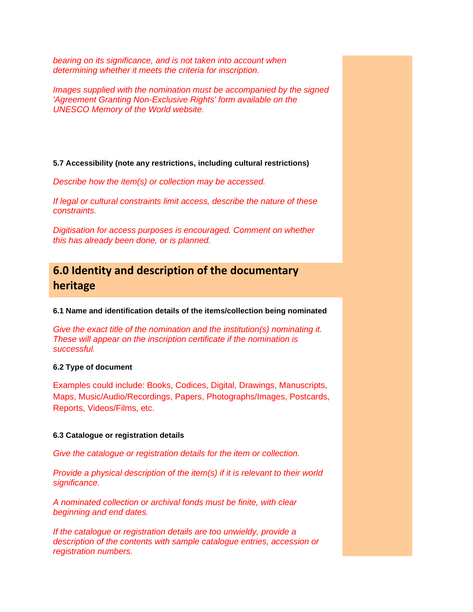*bearing on its significance, and is not taken into account when determining whether it meets the criteria for inscription.* 

*Images supplied with the nomination must be accompanied by the signed 'Agreement Granting Non-Exclusive Rights' form available on the UNESCO Memory of the World website.*

**5.7 Accessibility (note any restrictions, including cultural restrictions)**

*Describe how the item(s) or collection may be accessed.*

*If legal or cultural constraints limit access, describe the nature of these constraints.*

*Digitisation for access purposes is encouraged. Comment on whether this has already been done, or is planned.*

# **6.0 Identity and description of the documentary heritage**

**6.1 Name and identification details of the items/collection being nominated**

*Give the exact title of the nomination and the institution(s) nominating it. These will appear on the inscription certificate if the nomination is successful.*

### **6.2 Type of document**

Examples could include: Books, Codices, Digital, Drawings, Manuscripts, Maps, Music/Audio/Recordings, Papers, Photographs/Images, Postcards, Reports, Videos/Films, etc.

### **6.3 Catalogue or registration details**

*Give the catalogue or registration details for the item or collection.*

*Provide a physical description of the item(s) if it is relevant to their world significance.* 

*A nominated collection or archival fonds must be finite, with clear beginning and end dates.*

*If the catalogue or registration details are too unwieldy, provide a description of the contents with sample catalogue entries, accession or registration numbers.*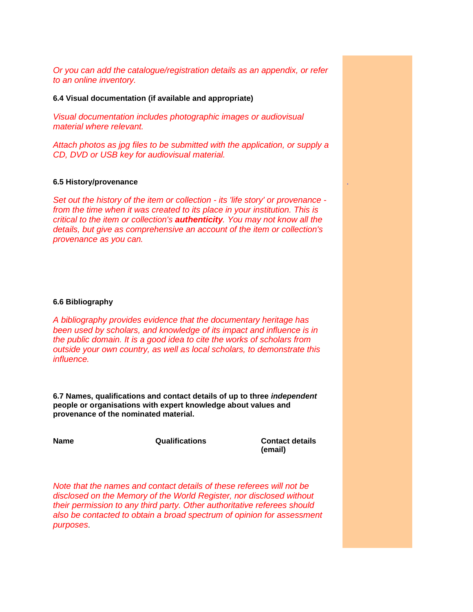*Or you can add the catalogue/registration details as an appendix, or refer to an online inventory.*

#### **6.4 Visual documentation (if available and appropriate)**

*Visual documentation includes photographic images or audiovisual material where relevant.* 

*Attach photos as jpg files to be submitted with the application, or supply a CD, DVD or USB key for audiovisual material.* 

#### **6.5 History/provenance**

*Set out the history of the item or collection - its 'life story' or provenance from the time when it was created to its place in your institution. This is critical to the item or collection's authenticity. You may not know all the details, but give as comprehensive an account of the item or collection's provenance as you can.*

#### **6.6 Bibliography**

*A bibliography provides evidence that the documentary heritage has been used by scholars, and knowledge of its impact and influence is in the public domain. It is a good idea to cite the works of scholars from outside your own country, as well as local scholars, to demonstrate this influence.*

**6.7 Names, qualifications and contact details of up to three** *independent*  **people or organisations with expert knowledge about values and provenance of the nominated material.**

**Name Qualifications Contact details** 

**(email)**

.

*Note that the names and contact details of these referees will not be disclosed on the Memory of the World Register, nor disclosed without their permission to any third party. Other authoritative referees should also be contacted to obtain a broad spectrum of opinion for assessment purposes*.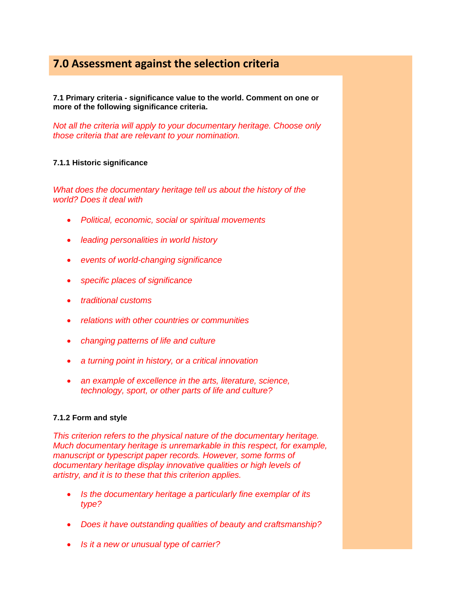# **7.0 Assessment against the selection criteria**

**7.1 Primary criteria - significance value to the world. Comment on one or more of the following significance criteria.** 

*Not all the criteria will apply to your documentary heritage. Choose only those criteria that are relevant to your nomination.*

### **7.1.1 Historic significance**

*What does the documentary heritage tell us about the history of the world? Does it deal with* 

- *Political, economic, social or spiritual movements*
- *leading personalities in world history*
- *events of world-changing significance*
- *specific places of significance*
- *traditional customs*
- *relations with other countries or communities*
- *changing patterns of life and culture*
- *a turning point in history, or a critical innovation*
- *an example of excellence in the arts, literature, science, technology, sport, or other parts of life and culture?*

### **7.1.2 Form and style**

*This criterion refers to the physical nature of the documentary heritage. Much documentary heritage is unremarkable in this respect, for example, manuscript or typescript paper records. However, some forms of documentary heritage display innovative qualities or high levels of artistry, and it is to these that this criterion applies.* 

- *Is the documentary heritage a particularly fine exemplar of its type?*
- *Does it have outstanding qualities of beauty and craftsmanship?*
- *Is it a new or unusual type of carrier?*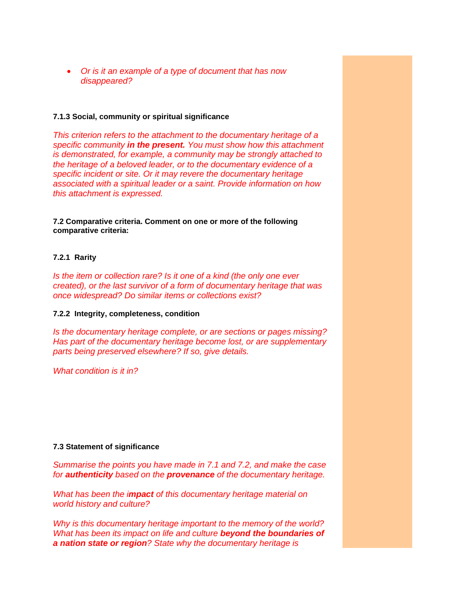• *Or is it an example of a type of document that has now disappeared?*

#### **7.1.3 Social, community or spiritual significance**

*This criterion refers to the attachment to the documentary heritage of a specific community in the present. You must show how this attachment is demonstrated, for example, a community may be strongly attached to the heritage of a beloved leader, or to the documentary evidence of a specific incident or site. Or it may revere the documentary heritage associated with a spiritual leader or a saint. Provide information on how this attachment is expressed.* 

**7.2 Comparative criteria. Comment on one or more of the following comparative criteria:**

#### **7.2.1 Rarity**

*Is the item or collection rare? Is it one of a kind (the only one ever created), or the last survivor of a form of documentary heritage that was once widespread? Do similar items or collections exist?*

#### **7.2.2 Integrity, completeness, condition**

*Is the documentary heritage complete, or are sections or pages missing? Has part of the documentary heritage become lost, or are supplementary parts being preserved elsewhere? If so, give details.*

*What condition is it in?*

#### **7.3 Statement of significance**

*Summarise the points you have made in 7.1 and 7.2, and make the case for authenticity based on the provenance of the documentary heritage.* 

*What has been the impact of this documentary heritage material on world history and culture?*

*Why is this documentary heritage important to the memory of the world? What has been its impact on life and culture beyond the boundaries of a nation state or region? State why the documentary heritage is*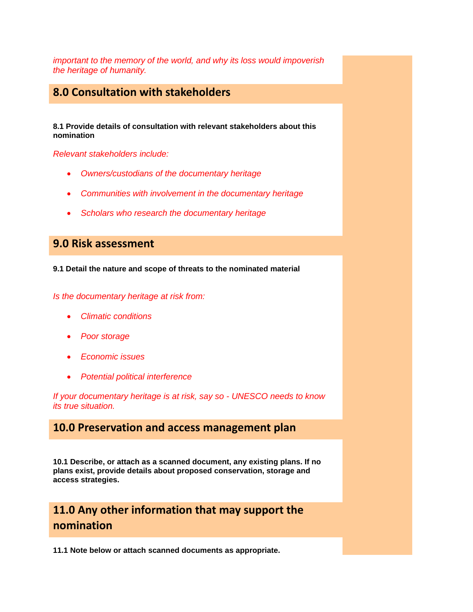*important to the memory of the world, and why its loss would impoverish the heritage of humanity.*

### **8.0 Consultation with stakeholders**

**8.1 Provide details of consultation with relevant stakeholders about this nomination**

*Relevant stakeholders include:*

- *Owners/custodians of the documentary heritage*
- *Communities with involvement in the documentary heritage*
- *Scholars who research the documentary heritage*

# **9.0 Risk assessment**

**9.1 Detail the nature and scope of threats to the nominated material**

*Is the documentary heritage at risk from:*

- *Climatic conditions*
- *Poor storage*
- *Economic issues*
- *Potential political interference*

*If your documentary heritage is at risk, say so - UNESCO needs to know its true situation.*

### **10.0 Preservation and access management plan**

**10.1 Describe, or attach as a scanned document, any existing plans. If no plans exist, provide details about proposed conservation, storage and access strategies.**

# **11.0 Any other information that may support the nomination**

**11.1 Note below or attach scanned documents as appropriate.**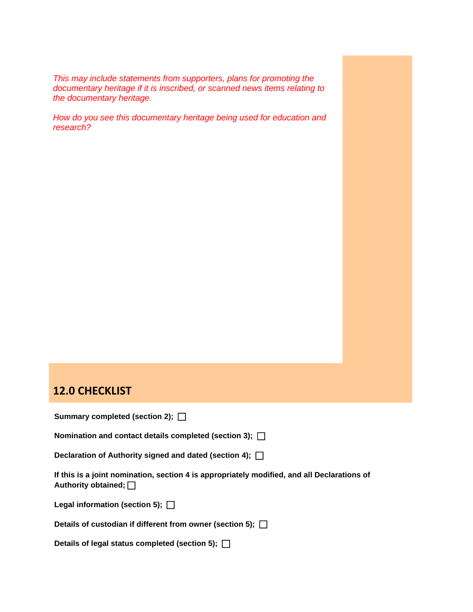*This may include statements from supporters, plans for promoting the documentary heritage if it is inscribed, or scanned news items relating to the documentary heritage.*

*How do you see this documentary heritage being used for education and research?*

### **12.0 CHECKLIST**

|  | Summary completed (section 2); [ |  |  |  |
|--|----------------------------------|--|--|--|
|--|----------------------------------|--|--|--|

**Nomination and contact details completed (section 3);** 

**Declaration of Authority signed and dated (section 4);** 

**If this is a joint nomination, section 4 is appropriately modified, and all Declarations of Authority obtained;** 

**Legal information (section 5);** 

**Details of custodian if different from owner (section 5);** 

**Details of legal status completed (section 5);**